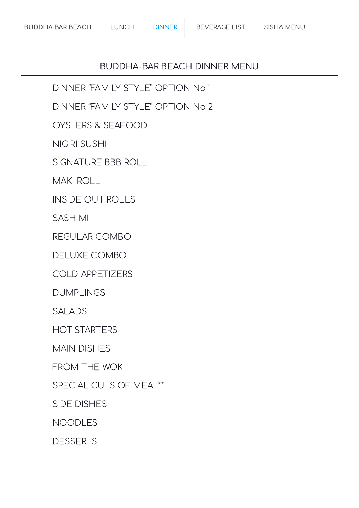#### BUDDHA-BAR BEACH DINNER MENU

DINNER "FAMILY STYLE" [OPTION](#page-1-0) No 1

DINNER "FAMILY STYLE" [OPTION](#page-2-0) No 2

OYSTERS & [SEAFOOD](#page-3-0)

[NIGIRI SUSHI](#page-3-1)

[SIGNATURE](#page-4-0) BBB ROLL

MAKI ROLL

INSIDE [OUT ROLLS](#page-5-0)

[SASHIMI](#page-6-0)

[REGULAR](#page-6-1) COMBO

[DELUXE](#page-7-0) COMBO

COLD [APPETIZERS](#page-7-1)

[DUMPLINGS](#page-8-0)

[SALADS](#page-8-1)

[HOT STARTERS](#page-9-0)

MAIN [DISHES](#page-9-1)

[FROM](#page-10-0) THE WOK

SPECIAL CUTS [OF MEAT\\*\\*](#page-11-0)

SIDE [DISHES](#page-11-1)

[NOODLES](#page-12-0)

**[DESSERTS](#page-12-1)**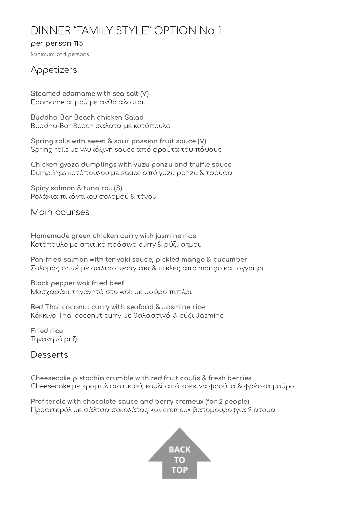## <span id="page-1-0"></span>DINNER "FAMILY STYLE" OPTION No 1

#### per person 115

Minimum of 4 persons

#### Appetizers

Steamed edamame with sea salt (V) Edamame ατμού με ανθό αλατιού

Buddha-Bar Beach chicken Salad Buddha-Bar Beach σαλάτα με κοτόπουλο

Spring rolls with sweet & sour passion fruit sauce (V) Spring rolls με γλυκόξινη sauce από φρούτα του πάθους

Chicken gyoza dumplings with yuzu ponzu and truffle sauce Dumplings κοτόπουλου με sauce από yuzu ponzu & τρούφα

Spicy salmon & tuna roll (S) Ρολάκια πικάντικου σολομού & τόνου

Main courses

Homemade green chicken curry with jasmine rice Κοτόπουλο με σπιτικό πράσινο curry & ρύζι ατμού

Pan-fried salmon with teriyaki sauce, pickled mango & cucumber Σολομός σωτέ με σάλτσα τεριγιάκι & πίκλες από mango και αγγουρι

Black pepper wok fried beef Μοσχαράκι τηγανητό στο wok με μαύρο πιπέρι

Red Thai coconut curry with seafood & Jasmine rice Κόκκινο Thai coconut curry με θαλασσινά & ρύζι Jasmine

Fried rice Τηγανητό ρύζι

Desserts

Cheesecake pistachio crumble with red fruit coulis & fresh berries Cheesecake με κραμπλ φιστικιού, κουλί από κόκκινα φρούτα & φρέσκα μούρα

Profiterole with chocolate sauce and berry cremeux (for 2 people) Προφιτερόλ με σάλτσα σοκολάτας και cremeux βατόμουρο (για 2 άτομα

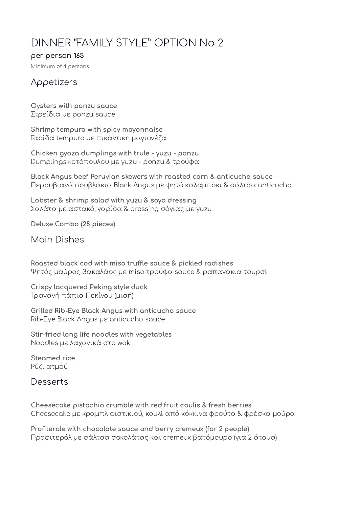# <span id="page-2-0"></span>DINNER "FAMILY STYLE" OPTION No 2

#### per person 165

Minimum of 4 persons

#### Appetizers

Oysters with ponzu sauce Στρείδια με ponzu sauce

Shrimp tempura with spicy mayonnaise Γαρίδα tempura με πικάντικη μαγιονέζα

Chicken gyoza dumplings with trule - yuzu - ponzu Dumplings κοτόπουλου με yuzu - ponzu & τρούφα

Black Angus beef Peruvian skewers with roasted corn & anticucho sauce Περουβιανά σουβλάκια Black Angus με ψητό καλαμπόκι & σάλτσα anticucho

Lobster & shrimp salad with yuzu & soya dressing Σαλάτα με αστακό, γαρίδα & dressing σόγιας με yuzu

Deluxe Combo (28 pieces)

Main Dishes

Roasted black cod with miso truffle sauce & pickled radishes Ψητός μαύρος βακαλάος με miso τρούφα sauce & ραπανάκια τουρσί

Crispy lacquered Peking style duck Τραγανή πάπια Πεκίνου (μισή)

Grilled Rib-Eye Black Angus with anticucho sauce Rib-Eye Black Angus με anticucho sauce

Stir-fried long life noodles with vegetables Noodles με λαχανικά στο wok

Steamed rice Ρύζι ατμού

Desserts

Cheesecake pistachio crumble with red fruit coulis & fresh berries Cheesecake με κραμπλ φιστικιού, κουλί από κόκκινα φρούτα & φρέσκα μούρα

Profiterole with chocolate sauce and berry cremeux (for 2 people) Προφιτερόλ με σάλτσα σοκολάτας και cremeux βατόμουρο (για 2 άτομα)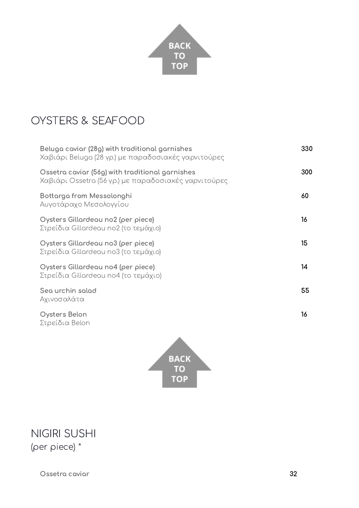

## <span id="page-3-0"></span>OYSTERS & SEAFOOD

| Beluga caviar (28g) with traditional garnishes<br>Χαβιάρι Beluga (28 γρ.) με παραδοσιακές γαρνιτούρες   | 330 |
|---------------------------------------------------------------------------------------------------------|-----|
| Ossetra caviar (56g) with traditional garnishes<br>Χαβιάρι Ossetra (56 γρ.) με παραδοσιακές γαρνιτούρες | 300 |
| Bottarga from Messolonghi<br>Αυγοτάραχο Μεσολογγίου                                                     | 60  |
| Oysters Gillardeau no2 (per piece)<br>Στρείδια Gillardeau no2 (το τεμάχιο)                              | 16  |
| Oysters Gillardeau no3 (per piece)<br>Στρείδια Gillardeau no3 (το τεμάχιο)                              | 15  |
| Oysters Gillardeau no4 (per piece)<br>Στρείδια Gillardeau no4 (το τεμάχιο)                              | 14  |
| Sea urchin salad<br>Αχινοσαλάτα                                                                         | 55  |
| Oysters Belon                                                                                           | 16  |

Στρείδια Belon



## <span id="page-3-1"></span>NIGIRI SUSHI (per piece) \*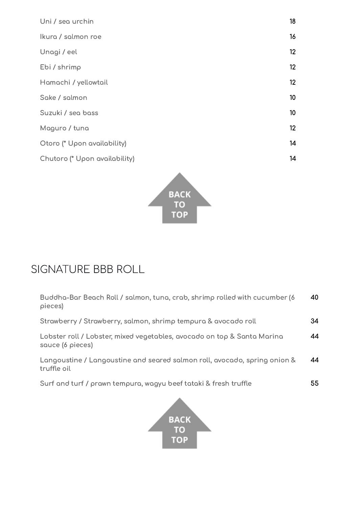| Uni / sea urchin              | 18 |
|-------------------------------|----|
| Ikura / salmon roe            | 16 |
| Unagi / eel                   | 12 |
| Ebi / shrimp                  | 12 |
| Hamachi / yellowtail          | 12 |
| Sake / salmon                 | 10 |
| Suzuki / sea bass             | 10 |
| Maguro / tuna                 | 12 |
| Otoro (* Upon availability)   | 14 |
| Chutoro (* Upon availability) | 14 |
|                               |    |



# <span id="page-4-0"></span>SIGNATURE BBB ROLL

| Buddha-Bar Beach Roll / salmon, tuna, crab, shrimp rolled with cucumber (6<br>pieces)       | 40 |
|---------------------------------------------------------------------------------------------|----|
| Strawberry / Strawberry, salmon, shrimp tempura & avocado roll                              | 34 |
| Lobster roll / Lobster, mixed vegetables, avocado on top & Santa Marina<br>sauce (6 pieces) | 44 |
| Langoustine / Langoustine and seared salmon roll, avocado, spring onion &<br>truffle oil    | 44 |
| Surf and turf / prawn tempura, wagyu beef tataki & fresh truffle                            | 55 |

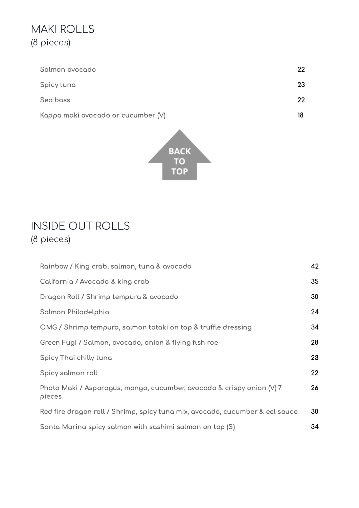## MAKI ROLLS (8 pieces)

| Salmon avocado                     | 22 |
|------------------------------------|----|
| Spicy tuna                         | 23 |
| Sea bass                           | 22 |
| Kappa maki avocado or cucumber (V) |    |



## <span id="page-5-0"></span>INSIDE OUT ROLLS (8 pieces)

| Rainbow / King crab, salmon, tuna & avocado                                     | 42 |
|---------------------------------------------------------------------------------|----|
| California / Avocado & king crab                                                | 35 |
| Dragon Roll / Shrimp tempura & avocado                                          | 30 |
| Salmon Philadelphia                                                             | 24 |
| OMG / Shrimp tempura, salmon tataki on top & truffle dressing                   | 34 |
| Green Fugi / Salmon, avocado, onion & flying fish roe                           | 28 |
| Spicy Thai chilly tuna                                                          | 23 |
| Spicy salmon roll                                                               | 22 |
| Photo Maki / Asparagus, mango, cucumber, avocado & crispy onion (V) 7<br>pieces | 26 |
| Red fire dragon roll / Shrimp, spicy tuna mix, avocado, cucumber & eel sauce    | 30 |
| Santa Marina spicy salmon with sashimi salmon on top (S)                        | 34 |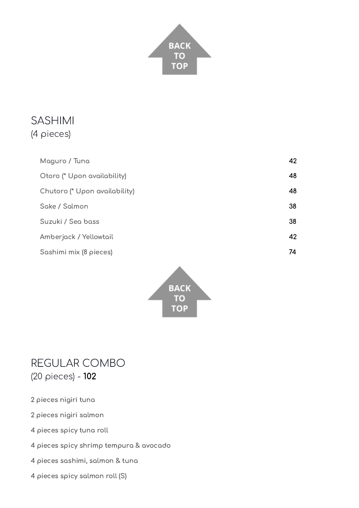

### <span id="page-6-0"></span>SASHIMI (4 pieces)

| Maguro / Tuna                 | 42 |
|-------------------------------|----|
| Otoro (* Upon availability)   | 48 |
| Chutoro (* Upon availability) | 48 |
| Sake / Salmon                 | 38 |
| Suzuki / Sea bass             | 38 |
| Amberjack / Yellowtail        | 42 |
| Sashimi mix (8 pieces)        | 74 |
|                               |    |



### <span id="page-6-1"></span>REGULAR COMBO (20 pieces) - 102

- 2 pieces nigiri tuna
- 2 pieces nigiri salmon
- 4 pieces spicy tuna roll
- 4 pieces spicy shrimp tempura & avocado
- 4 pieces sashimi, salmon & tuna
- 4 pieces spicy salmon roll (S)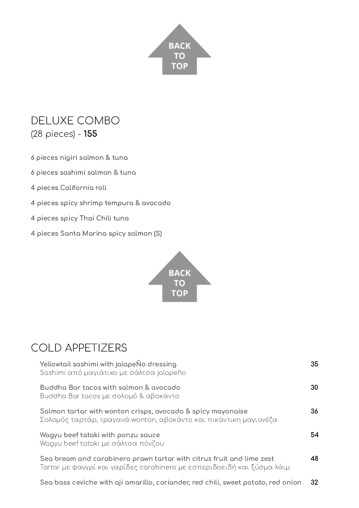

## <span id="page-7-0"></span>DELUXE COMBO (28 pieces) - 155

6 pieces nigiri salmon & tuna

6 pieces sashimi salmon & tuna

4 pieces California roll

4 pieces spicy shrimp tempura & avocado

- 4 pieces spicy Thai Chili tuna
- 4 pieces Santa Marina spicy salmon (S)



# <span id="page-7-1"></span>COLD APPETIZERS

| Yellowtail sashimi with jalapeÑo dressing<br>Sashimi από μαγιάτικο με σάλτσα jalapeño                                                           | 35 |
|-------------------------------------------------------------------------------------------------------------------------------------------------|----|
| Buddha Bar tacos with salmon & avocado<br>Buddha Bar tacos με σολομό & αβοκάντο                                                                 | 30 |
| Salmon tartar with wonton crisps, avocado & spicy mayonaise<br>Σολομός ταρτάρ, τραγανά wonton, αβοκάντο και πικάντικη μαγιονέζα                 | 36 |
| Wagyu beef tataki with ponzu sauce<br>Wagyu beef tataki με σάλτσα πόνζου                                                                        | 54 |
| Sea bream and carabinero prawn tartar with citrus fruit and lime zest<br>Tartar με φαγγρί και γαρίδες carabinero με εσπεριδοειδή και ξύσμα λάιμ | 48 |
| Sea bass ceviche with aji amarillo, coriander, red chili, sweet potato, red onion                                                               | 32 |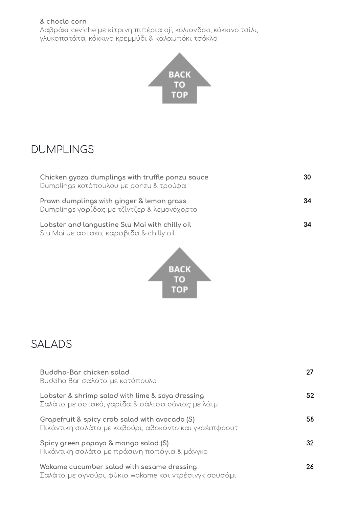#### & choclo corn

Λαβράκι ceviche με κίτρινη πιπέρια aji, κόλιανδρο, κόκκινο τσίλι, γλυκοπατάτα, κόκκινο κρεμμύδι & καλαμπόκι τσόκλο



### <span id="page-8-0"></span>DUMPLINGS

| Chicken gyoza dumplings with truffle ponzu sauce<br>Dumplings κοτόπουλου με ροηzu & τρούφα | 30  |
|--------------------------------------------------------------------------------------------|-----|
| Prawn dumplings with ginger & lemon grass<br>Dumplings γαρίδας με τζίντζερ & λεμονόχορτο   | 34. |
| Lobster and langustine Stu Mai with chilly oil<br>Siu Mai με αστακο, καραβιδα & chilly oil | 34  |



## <span id="page-8-1"></span>SALADS

| Buddha-Bar chicken salad<br>Buddha Bar σαλάτα με κοτόπουλο                                              |    |
|---------------------------------------------------------------------------------------------------------|----|
| Lobster & shrimp salad with lime & soya dressing<br>Σαλάτα με αστακό, γαρίδα & σάλτσα σόγιας με λάιμ    | 52 |
| Grapefruit & spicy crab salad with avocado (S)<br>Πικάντικη σαλάτα με καβούρι, αβοκάντο και γκρέιπφρουτ | 58 |
| Spicy green papaya & mango salad (S)<br>Πικάντικη σαλάτα με πράσινη παπάγια & μάνγκο                    | 32 |
| Wakame cucumber salad with sesame dressing<br>Σαλάτα με αγγούρι, φύκια wakame και ντρέσινγκ σουσάμι     | 26 |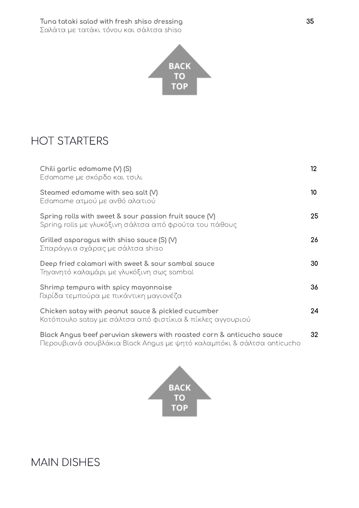

## <span id="page-9-0"></span>HOT STARTERS

| Chili garlic edamame (V) (S)<br>Edamame με σκόρδο και τσιλι                                                        | $12 \,$         |
|--------------------------------------------------------------------------------------------------------------------|-----------------|
| Steamed edamame with sea salt $(V)$<br>Edamame ατμού με ανθό αλατιού                                               | 10 <sup>°</sup> |
| Spring rolls with sweet & sour passion fruit sauce $(V)$<br>Spring rolls με γλυκόξινη σάλτσα από φρούτα του πάθους | 25              |
| Grilled asparagus with shiso sauce $(S)$ (V)<br>Σπαράγγια σχάρας με σάλτσα shiso                                   | 26              |
| Deep fried calamari with sweet & sour sambal sauce<br>Τηγανητό καλαμάρι με γλυκόξινη σως sambal                    | 30              |
| Shrimp tempura with spicy mayonnaise<br>Γαρίδα τεμπούρα με πικάντικη μαγιονέζα                                     | 36              |
| Chicken satay with peanut sauce & pickled cucumber<br>Κοτόπουλο satay με σάλτσα από φιστίκια & πίκλες αγγουριού    | 24              |
| Black Angus beef peruvian skewers with roasted corn & anticucho sauce                                              | 32              |

Περουβιανά σουβλάκια Black Angus με ψητό καλαμπόκι & σάλτσα anticucho



## <span id="page-9-1"></span>MAIN DISHES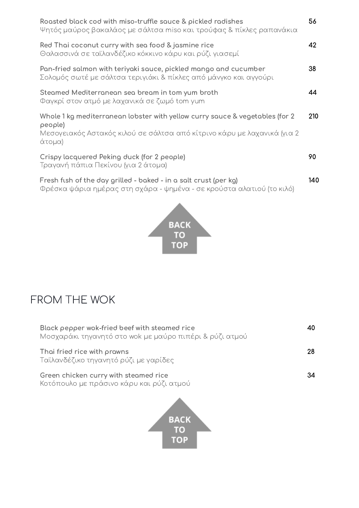| Roasted black cod with miso-truffle sauce & pickled radishes<br>Ψητός μαύρος βακαλάος με σάλτσα miso και τρούφας & πίκλες ραπανάκια                                           | 56   |
|-------------------------------------------------------------------------------------------------------------------------------------------------------------------------------|------|
| Red Thai coconut curry with sea food & jasmine rice<br>Θαλασσινά σε ταϊλανδέζικο κόκκινο κάρυ και ρύζι γιασεμί                                                                | 42   |
| Pan-fried salmon with teriyaki sauce, pickled mango and cucumber<br>Σολομός σωτέ με σάλτσα τεριγιάκι & πίκλες από μάνγκο και αγγούρι                                          | 38   |
| Steamed Mediterranean sea bream in tom yum broth<br>Φαγκρί στον ατμό με λαχανικά σε ζωμό tom yum                                                                              | 44   |
| Whole 1 kg mediterranean lobster with yellow curry sauce & vegetables (for 2)<br>people)<br>Μεσογειακός Αστακός κιλού σε σάλτσα από κίτρινο κάρυ με λαχανικά (για 2<br>άτομα) | 210  |
| Crispy lacquered Peking duck (for 2 people)<br>Τραγανή πάπια Πεκίνου (για 2 άτομα)                                                                                            | 90   |
| Fresh fish of the day grilled - baked - in a salt crust (per kg)<br>Φρέσκα ψάρια ημέρας στη σχάρα - ψημένα - σε κρούστα αλατιού (το κιλό)                                     | 140. |



# <span id="page-10-0"></span>FROM THE WOK

| Black pepper wok-fried beef with steamed rice<br>Μοσχαράκι τηγανητό στο wok με μαύρο πιπέρι & ρύζι ατμού |    |
|----------------------------------------------------------------------------------------------------------|----|
| Thai fried rice with prawns<br>Ταϊλανδέζικο τηγανητό ρύζι με γαρίδες                                     | 28 |
| Green chicken curry with steamed rice<br>Κοτόπουλο με πράσινο κάρυ και ρύζι ατμού                        |    |
|                                                                                                          |    |

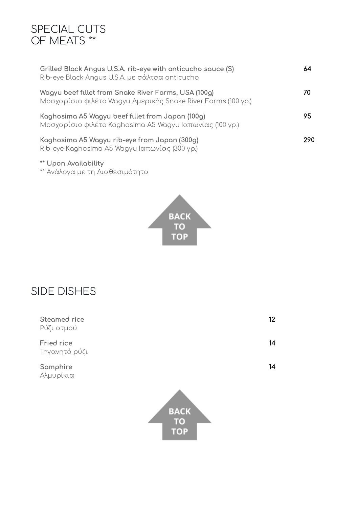#### <span id="page-11-0"></span>SPECIAL CUTS OF MEATS \*\*

| Grilled Black Angus U.S.A. rib-eye with anticucho sauce (S)<br>Rib-eye Black Angus U.S.A. με σάλτσα anticucho        | 64  |
|----------------------------------------------------------------------------------------------------------------------|-----|
| Wagyu beef fillet from Snake River Farms, USA (100g)<br>Μοσχαρίσιο φιλέτο Wagyu Αμερικής Snake River Farms (100 γρ.) | 70  |
| Kaghosima A5 Wagyu beef fillet from Japan (100g)<br>Μοσχαρίσιο φιλέτο Kaghosima A5 Wagyu Ιαπωνίας (100 γρ.)          | 95  |
| Kaghosima A5 Wagyu rib-eye from Japan (300g)<br>Rib-eye Kaghosima A5 Wagyu Ιαπωνίας (300 γρ.)                        | 290 |

#### \*\* Upon Availability

\*\* Ανάλογα με τη Διαθεσιμότητα



## <span id="page-11-1"></span>SIDE DISHES

| Steamed rice<br>Ρύζι ατμού  | 12                |  |
|-----------------------------|-------------------|--|
| Fried rice<br>Τηγανητό ρύζι | 14                |  |
| Samphire<br>Αλμυρίκια       | 14                |  |
|                             | <b>BACK</b><br>то |  |

**TOP**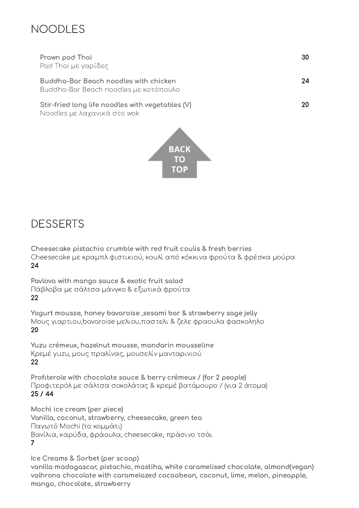### <span id="page-12-0"></span>NOODLES

| Prawn pad Thai<br>Pad Thai με γαρίδες                                           | 30 |
|---------------------------------------------------------------------------------|----|
| Buddha-Bar Beach noodles with chicken<br>Buddha-Bar Beach noodles με κοτόπουλο  | 24 |
| Stir-fried long life noodles with vegetables (V)<br>Noodles με λαχανικά στο wok | 20 |



## <span id="page-12-1"></span>DESSERTS

Cheesecake pistachio crumble with red fruit coulis & fresh berries Cheesecake με κραμπλ φιστικιού, κουλί από κόκκινα φρούτα & φρέσκα μούρα 24

Pavlova with mango sauce & exotic fruit salad Πάβλοβα με σάλτσα μάνγκο & εξωτικά φρούτα 22

Yogurt mousse, honey bavaroise ,sesami bar & strawberry sage jelly Μους γιαρτιου,bavaroise μελιου,παστελι & ζελε φραουλα φασκοληλο 20

Yuzu crémeux, hazelnut mousse, mandarin mousseline Κρεμέ yuzu, μους πραλίνας, μουσελίν μανταρινιού 22

Profιterole with chocolate sauce & berry crémeux / (for 2 people) Προφιτερόλ με σάλτσα σοκολάτας & κρεμέ βατόμουρο / (για 2 άτομα) 25 / 44

Mochi ice cream (per piece) Vanilla, coconut, strawberry, cheesecake, green tea Παγωτό Mochi (το κομμάτι) Βανίλια, καρύδα, φράουλα, cheesecake, πράσινο τσάι 7

Ice Creams & Sorbet (per scoop) vanilla madagascar, pistachio, mastiha, white caramelised chocolate, almond(vegan) valhrona chocolate with caramelazed cocoabean, coconut, lime, melon, pineapple, mango, chocolate, strawberry